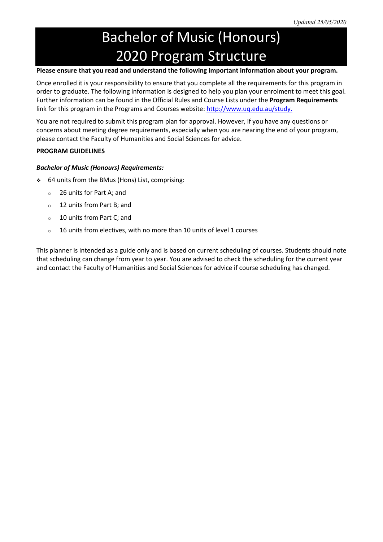# Bachelor of Music (Honours) 2020 Program Structure

# **Please ensure that you read and understand the following important information about your program.**

Once enrolled it is your responsibility to ensure that you complete all the requirements for this program in order to graduate. The following information is designed to help you plan your enrolment to meet this goal. Further information can be found in the Official Rules and Course Lists under the **Program Requirements** link for this program in the Programs and Courses website: [http://www.uq.edu.au/study.](http://www.uq.edu.au/study/)

You are not required to submit this program plan for approval. However, if you have any questions or concerns about meeting degree requirements, especially when you are nearing the end of your program, please contact the Faculty of Humanities and Social Sciences for advice.

## **PROGRAM GUIDELINES**

## *Bachelor of Music (Honours) Requirements:*

- 64 units from the BMus (Hons) List, comprising:
	- <sup>o</sup> 26 units for Part A; and
	- <sup>o</sup> 12 units from Part B; and
	- <sup>o</sup> 10 units from Part C; and
	- <sup>o</sup> 16 units from electives, with no more than 10 units of level 1 courses

This planner is intended as a guide only and is based on current scheduling of courses. Students should note that scheduling can change from year to year. You are advised to check the scheduling for the current year and contact the Faculty of Humanities and Social Sciences for advice if course scheduling has changed.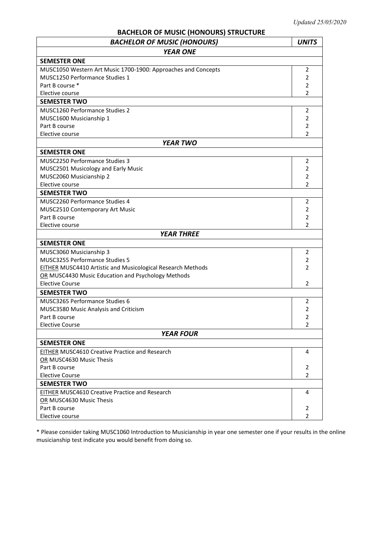# **BACHELOR OF MUSIC (HONOURS) STRUCTURE**

| <b>BACHELOR OF MUSIC (HONOURS)</b>                                 | <b>UNITS</b>                     |  |  |
|--------------------------------------------------------------------|----------------------------------|--|--|
| <b>YEAR ONE</b>                                                    |                                  |  |  |
| <b>SEMESTER ONE</b>                                                |                                  |  |  |
| MUSC1050 Western Art Music 1700-1900: Approaches and Concepts      |                                  |  |  |
| MUSC1250 Performance Studies 1                                     | $\overline{2}$                   |  |  |
| Part B course *                                                    |                                  |  |  |
| Elective course                                                    | $\overline{2}$                   |  |  |
| <b>SEMESTER TWO</b>                                                |                                  |  |  |
| <b>MUSC1260 Performance Studies 2</b>                              | 2                                |  |  |
| MUSC1600 Musicianship 1                                            | 2                                |  |  |
| Part B course                                                      | 2                                |  |  |
| Elective course                                                    | 2                                |  |  |
| <b>YEAR TWO</b>                                                    |                                  |  |  |
| <b>SEMESTER ONE</b>                                                |                                  |  |  |
| MUSC2250 Performance Studies 3                                     | 2                                |  |  |
| MUSC2501 Musicology and Early Music                                | 2                                |  |  |
| MUSC2060 Musicianship 2                                            | 2                                |  |  |
| Elective course                                                    | 2                                |  |  |
| <b>SEMESTER TWO</b>                                                |                                  |  |  |
| <b>MUSC2260 Performance Studies 4</b>                              | 2                                |  |  |
| MUSC2510 Contemporary Art Music                                    | 2                                |  |  |
| Part B course                                                      | $\overline{2}$                   |  |  |
| Elective course                                                    | $\overline{2}$                   |  |  |
| <b>YEAR THREE</b>                                                  |                                  |  |  |
| <b>SEMESTER ONE</b>                                                |                                  |  |  |
| MUSC3060 Musicianship 3                                            | 2                                |  |  |
| MUSC3255 Performance Studies 5                                     | 2                                |  |  |
| <b>EITHER MUSC4410 Artistic and Musicological Research Methods</b> | 2                                |  |  |
| OR MUSC4430 Music Education and Psychology Methods                 |                                  |  |  |
| <b>Elective Course</b>                                             | $\overline{2}$                   |  |  |
| <b>SEMESTER TWO</b>                                                |                                  |  |  |
| MUSC3265 Performance Studies 6                                     |                                  |  |  |
| MUSC3580 Music Analysis and Criticism                              | 2                                |  |  |
| Part B course                                                      | $\overline{2}$<br>$\overline{2}$ |  |  |
| <b>Elective Course</b>                                             |                                  |  |  |
| <b>YEAR FOUR</b>                                                   |                                  |  |  |
| <b>SEMESTER ONE</b>                                                |                                  |  |  |
| <b>EITHER MUSC4610 Creative Practice and Research</b>              | 4                                |  |  |
| OR MUSC4630 Music Thesis                                           |                                  |  |  |
| Part B course                                                      | 2                                |  |  |
| <b>Elective Course</b>                                             | $\overline{2}$                   |  |  |
| <b>SEMESTER TWO</b>                                                |                                  |  |  |
| EITHER MUSC4610 Creative Practice and Research                     | 4                                |  |  |
| OR MUSC4630 Music Thesis                                           |                                  |  |  |
| Part B course                                                      | 2                                |  |  |
| Elective course                                                    | $\overline{2}$                   |  |  |

\* Please consider taking MUSC1060 Introduction to Musicianship in year one semester one if your results in the online musicianship test indicate you would benefit from doing so.